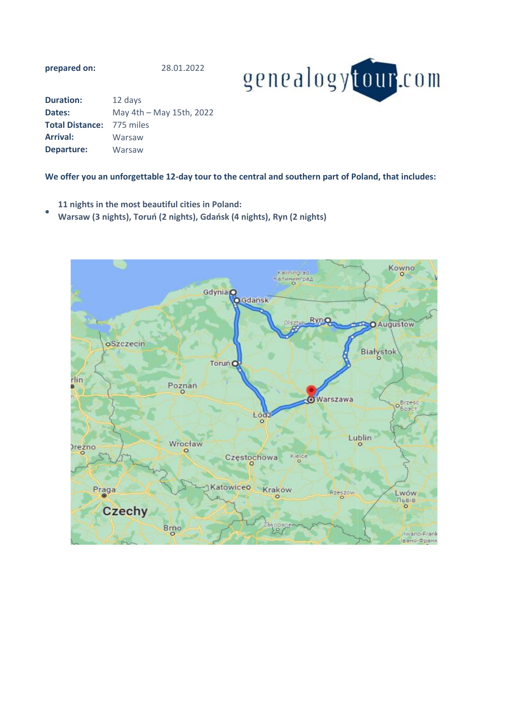**prepared on:**

28.01.2022



| <b>Duration:</b>                 | 12 days                  |
|----------------------------------|--------------------------|
| Dates:                           | May 4th - May 15th, 2022 |
| <b>Total Distance: 775 miles</b> |                          |
| <b>Arrival:</b>                  | Warsaw                   |
| <b>Departure:</b>                | Warsaw                   |

## **We offer you an unforgettable 12-day tour to the central and southern part of Poland, that includes:**

- **11 nights in the most beautiful cities in Poland:**
- **Warsaw (3 nights), Toruń (2 nights), Gdańsk (4 nights), Ryn (2 nights)**

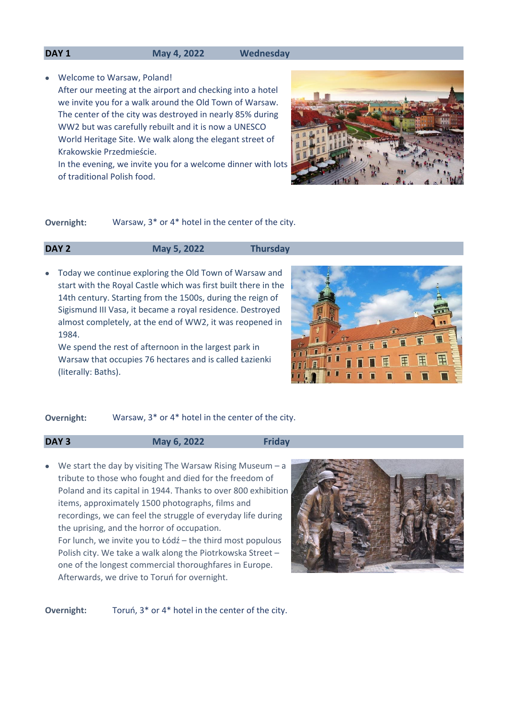#### **DAY 1 May 4, 2022 Wednesday**

• Welcome to Warsaw, Poland!

After our meeting at the airport and checking into a hotel we invite you for a walk around the Old Town of Warsaw. The center of the city was destroyed in nearly 85% during WW2 but was carefully rebuilt and it is now a UNESCO World Heritage Site. We walk along the elegant street of Krakowskie Przedmieście.

In the evening, we invite you for a welcome dinner with lots of traditional Polish food.

**Overnight:** Warsaw, 3\* or 4\* hotel in the center of the city.

### **DAY 2 May 5, 2022 Thursday**

• Today we continue exploring the Old Town of Warsaw and start with the Royal Castle which was first built there in the 14th century. Starting from the 1500s, during the reign of Sigismund III Vasa, it became a royal residence. Destroyed almost completely, at the end of WW2, it was reopened in 1984.

We spend the rest of afternoon in the largest park in Warsaw that occupies 76 hectares and is called Łazienki (literally: Baths).



# **Overnight:** Warsaw, 3\* or 4\* hotel in the center of the city.

| DAY <sub>3</sub> | May 6, 2022 | Friday |
|------------------|-------------|--------|
|                  |             |        |

• We start the day by visiting The Warsaw Rising Museum - a tribute to those who fought and died for the freedom of Poland and its capital in 1944. Thanks to over 800 exhibition items, approximately 1500 photographs, films and recordings, we can feel the struggle of everyday life during the uprising, and the horror of occupation. For lunch, we invite you to Łódź – the third most populous Polish city. We take a walk along the Piotrkowska Street – one of the longest commercial thoroughfares in Europe. Afterwards, we drive to Toruń for overnight.



**Overnight:** Toruń, 3\* or 4\* hotel in the center of the city.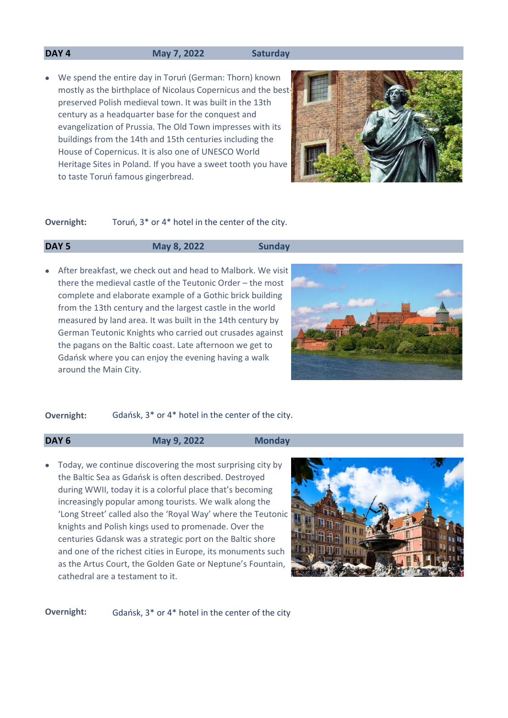### **DAY 4 May 7, 2022 Saturday**

• We spend the entire day in Toruń (German: Thorn) known mostly as the birthplace of Nicolaus Copernicus and the bestpreserved Polish medieval town. It was built in the 13th century as a headquarter base for the conquest and evangelization of Prussia. The Old Town impresses with its buildings from the 14th and 15th centuries including the House of Copernicus. It is also one of UNESCO World Heritage Sites in Poland. If you have a sweet tooth you have to taste Toruń famous gingerbread.



#### Toruń, 3\* or 4\* hotel in the center of the city. **Overnight:**

### **DAY 5 May 8, 2022 Sunday**

• After breakfast, we check out and head to Malbork. We visit there the medieval castle of the Teutonic Order – the most complete and elaborate example of a Gothic brick building from the 13th century and the largest castle in the world measured by land area. It was built in the 14th century by German Teutonic Knights who carried out crusades against the pagans on the Baltic coast. Late afternoon we get to Gdańsk where you can enjoy the evening having a walk around the Main City.



### **Overnight:** Gdańsk, 3\* or 4\* hotel in the center of the city.

**DAY 6 May 9, 2022 Monday**

• Today, we continue discovering the most surprising city by the Baltic Sea as Gdańsk is often described. Destroyed during WWII, today it is a colorful place that's becoming increasingly popular among tourists. We walk along the 'Long Street' called also the 'Royal Way' where the Teutonic knights and Polish kings used to promenade. Over the centuries Gdansk was a strategic port on the Baltic shore and one of the richest cities in Europe, its monuments such as the Artus Court, the Golden Gate or Neptune's Fountain, cathedral are a testament to it.



**Overnight:** Gdańsk, 3\* or 4\* hotel in the center of the city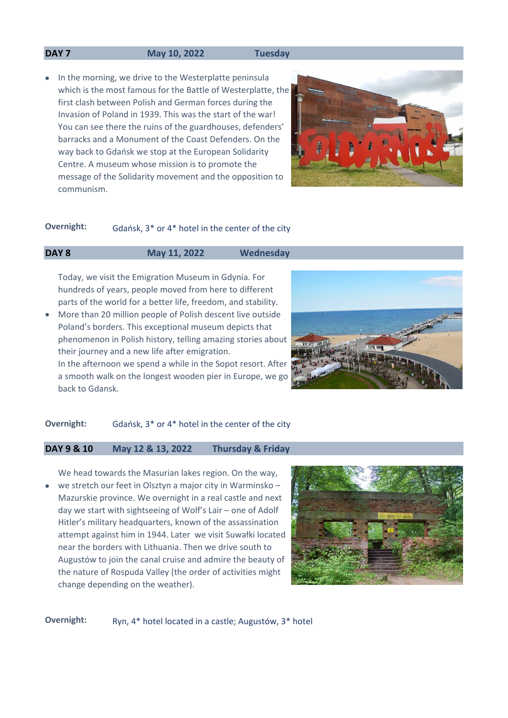#### **DAY 7 May 10, 2022 Tuesday**

• In the morning, we drive to the Westerplatte peninsula which is the most famous for the Battle of Westerplatte, the first clash between Polish and German forces during the Invasion of Poland in 1939. This was the start of the war! You can see there the ruins of the guardhouses, defenders' barracks and a Monument of the Coast Defenders. On the way back to Gdańsk we stop at the European Solidarity Centre. A museum whose mission is to promote the message of the Solidarity movement and the opposition to communism.



# **Overnight:** Gdańsk, 3\* or 4\* hotel in the center of the city

### **DAY 8 May 11, 2022 Wednesday**

Today, we visit the Emigration Museum in Gdynia. For hundreds of years, people moved from here to different parts of the world for a better life, freedom, and stability.

• More than 20 million people of Polish descent live outside Poland's borders. This exceptional museum depicts that phenomenon in Polish history, telling amazing stories about their journey and a new life after emigration. In the afternoon we spend a while in the Sopot resort. After

a smooth walk on the longest wooden pier in Europe, we go back to Gdansk.



# **Overnight:** Gdańsk, 3\* or 4\* hotel in the center of the city

# **DAY 9 & 10 May 12 & 13, 2022 Thursday & Friday**

• We head towards the Masurian lakes region. On the way, we stretch our feet in Olsztyn a major city in Warminsko – Mazurskie province. We overnight in a real castle and next day we start with sightseeing of Wolf's Lair – one of Adolf Hitler's military headquarters, known of the assassination attempt against him in 1944. Later we visit Suwałki located near the borders with Lithuania. Then we drive south to Augustów to join the canal cruise and admire the beauty of the nature of Rospuda Valley (the order of activities might change depending on the weather).



**Overnight:** Ryn, 4\* hotel located in a castle; Augustów, 3\* hotel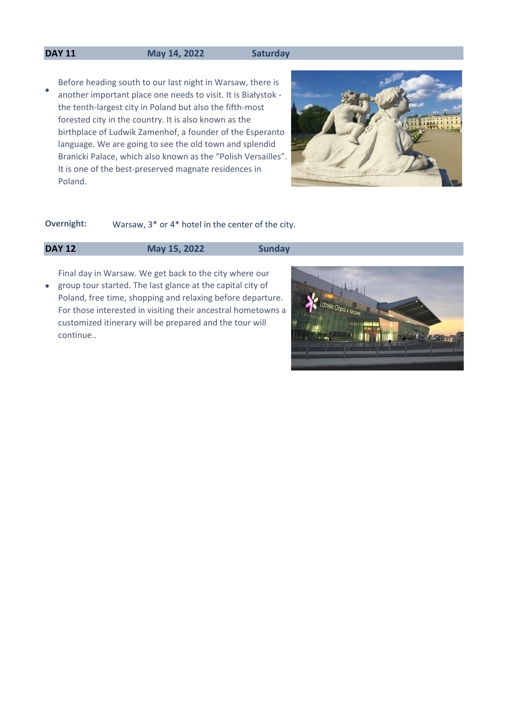### **DAY 11 May 14, 2022 Saturday**

• Before heading south to our last night in Warsaw, there is another important place one needs to visit. It is Białystok the tenth-largest city in Poland but also the fifth-most forested city in the country. It is also known as the birthplace of Ludwik Zamenhof, a founder of the Esperanto language. We are going to see the old town and splendid Branicki Palace, which also known as the "Polish Versailles". It is one of the best-preserved magnate residences in Poland.



# **Overnight:** Warsaw, 3\* or 4\* hotel in the center of the city.

# **DAY 12 May 15, 2022 Sunday**

• group tour started. The last glance at the capital city of Final day in Warsaw. We get back to the city where our Poland, free time, shopping and relaxing before departure. For those interested in visiting their ancestral hometowns a customized itinerary will be prepared and the tour will continue..